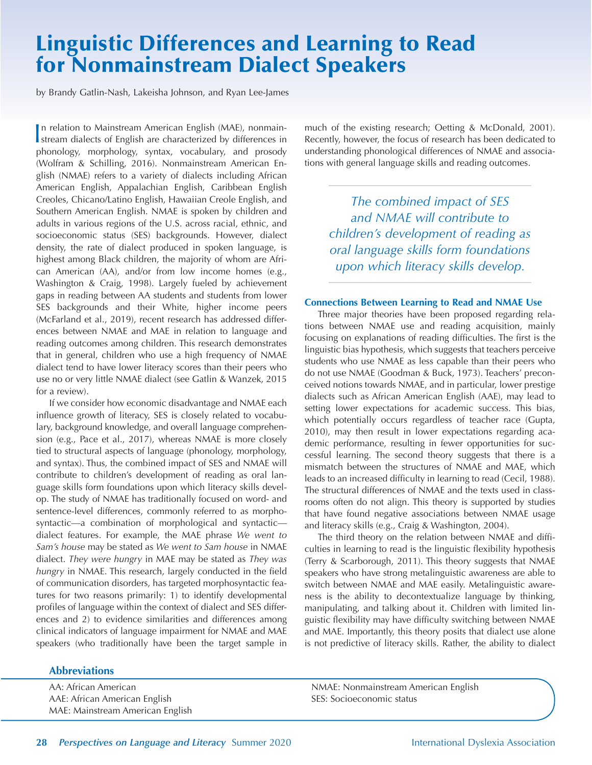# Linguistic Differences and Learning to Read for Nonmainstream Dialect Speakers

by Brandy Gatlin-Nash, Lakeisha Johnson, and Ryan Lee-James

In relation to Mainstream American English (MAE), nonmain-<br>stream dialects of English are characterized by differences in stream dialects of English are characterized by differences in phonology, morphology, syntax, vocabulary, and prosody (Wolfram & Schilling, 2016). Nonmainstream American English (NMAE) refers to a variety of dialects including African American English, Appalachian English, Caribbean English Creoles, Chicano/Latino English, Hawaiian Creole English, and Southern American English. NMAE is spoken by children and adults in various regions of the U.S. across racial, ethnic, and socioeconomic status (SES) backgrounds. However, dialect density, the rate of dialect produced in spoken language, is highest among Black children, the majority of whom are African American (AA), and/or from low income homes (e.g., Washington & Craig, 1998). Largely fueled by achievement gaps in reading between AA students and students from lower SES backgrounds and their White, higher income peers (McFarland et al., 2019), recent research has addressed differences between NMAE and MAE in relation to language and reading outcomes among children. This research demonstrates that in general, children who use a high frequency of NMAE dialect tend to have lower literacy scores than their peers who use no or very little NMAE dialect (see Gatlin & Wanzek, 2015 for a review).

If we consider how economic disadvantage and NMAE each influence growth of literacy, SES is closely related to vocabulary, background knowledge, and overall language comprehension (e.g., Pace et al., 2017), whereas NMAE is more closely tied to structural aspects of language (phonology, morphology, and syntax). Thus, the combined impact of SES and NMAE will contribute to children's development of reading as oral language skills form foundations upon which literacy skills develop. The study of NMAE has traditionally focused on word- and sentence-level differences, commonly referred to as morphosyntactic—a combination of morphological and syntactic dialect features. For example, the MAE phrase *We went to Sam's house* may be stated as *We went to Sam house* in NMAE dialect. *They were hungry* in MAE may be stated as *They was hungry* in NMAE. This research, largely conducted in the field of communication disorders, has targeted morphosyntactic features for two reasons primarily: 1) to identify developmental profiles of language within the context of dialect and SES differences and 2) to evidence similarities and differences among clinical indicators of language impairment for NMAE and MAE speakers (who traditionally have been the target sample in

## **Abbreviations**

AA: African American AAE: African American English MAE: Mainstream American English much of the existing research; Oetting & McDonald, 2001). Recently, however, the focus of research has been dedicated to understanding phonological differences of NMAE and associations with general language skills and reading outcomes.

*The combined impact of SES and NMAE will contribute to children's development of reading as oral language skills form foundations upon which literacy skills develop.*

### **Connections Between Learning to Read and NMAE Use**

Three major theories have been proposed regarding relations between NMAE use and reading acquisition, mainly focusing on explanations of reading difficulties. The first is the linguistic bias hypothesis, which suggests that teachers perceive students who use NMAE as less capable than their peers who do not use NMAE (Goodman & Buck, 1973). Teachers' preconceived notions towards NMAE, and in particular, lower prestige dialects such as African American English (AAE), may lead to setting lower expectations for academic success. This bias, which potentially occurs regardless of teacher race (Gupta, 2010), may then result in lower expectations regarding academic performance, resulting in fewer opportunities for successful learning. The second theory suggests that there is a mismatch between the structures of NMAE and MAE, which leads to an increased difficulty in learning to read (Cecil, 1988). The structural differences of NMAE and the texts used in classrooms often do not align. This theory is supported by studies that have found negative associations between NMAE usage and literacy skills (e.g., Craig & Washington, 2004).

The third theory on the relation between NMAE and difficulties in learning to read is the linguistic flexibility hypothesis (Terry & Scarborough, 2011). This theory suggests that NMAE speakers who have strong metalinguistic awareness are able to switch between NMAE and MAE easily. Metalinguistic awareness is the ability to decontextualize language by thinking, manipulating, and talking about it. Children with limited linguistic flexibility may have difficulty switching between NMAE and MAE. Importantly, this theory posits that dialect use alone is not predictive of literacy skills. Rather, the ability to dialect

NMAE: Nonmainstream American English SES: Socioeconomic status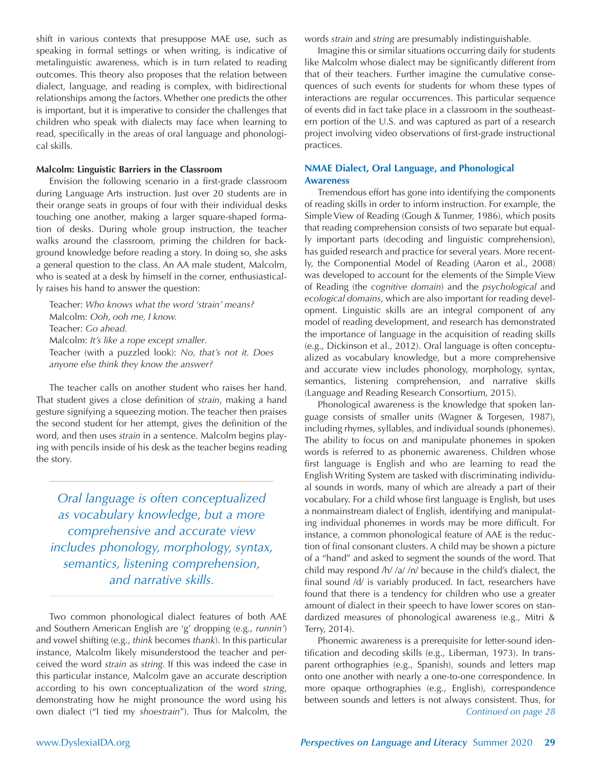shift in various contexts that presuppose MAE use, such as speaking in formal settings or when writing, is indicative of metalinguistic awareness, which is in turn related to reading outcomes. This theory also proposes that the relation between dialect, language, and reading is complex, with bidirectional relationships among the factors. Whether one predicts the other is important, but it is imperative to consider the challenges that children who speak with dialects may face when learning to read, specifically in the areas of oral language and phonological skills.

### **Malcolm: Linguistic Barriers in the Classroom**

Envision the following scenario in a first-grade classroom during Language Arts instruction. Just over 20 students are in their orange seats in groups of four with their individual desks touching one another, making a larger square-shaped formation of desks. During whole group instruction, the teacher walks around the classroom, priming the children for background knowledge before reading a story. In doing so, she asks a general question to the class. An AA male student, Malcolm, who is seated at a desk by himself in the corner, enthusiastically raises his hand to answer the question:

Teacher: *Who knows what the word 'strain' means?* Malcolm: *Ooh, ooh me, I know.* Teacher: *Go ahead.* Malcolm: *It's like a rope except smaller*. Teacher (with a puzzled look): *No, that's not it. Does anyone else think they know the answer?* 

The teacher calls on another student who raises her hand. That student gives a close definition of *strain*, making a hand gesture signifying a squeezing motion. The teacher then praises the second student for her attempt, gives the definition of the word, and then uses *strain* in a sentence. Malcolm begins playing with pencils inside of his desk as the teacher begins reading the story.

*Oral language is often conceptualized as vocabulary knowledge, but a more comprehensive and accurate view includes phonology, morphology, syntax, semantics, listening comprehension, and narrative skills.*

Two common phonological dialect features of both AAE and Southern American English are 'g' dropping (e.g., *runnin'*) and vowel shifting (e.g., *think* becomes *thank*). In this particular instance, Malcolm likely misunderstood the teacher and perceived the word *strain* as *string.* If this was indeed the case in this particular instance, Malcolm gave an accurate description according to his own conceptualization of the word *string*, demonstrating how he might pronounce the word using his own dialect ("I tied my *shoestrain*"). Thus for Malcolm, the words *strain* and *string* are presumably indistinguishable.

Imagine this or similar situations occurring daily for students like Malcolm whose dialect may be significantly different from that of their teachers. Further imagine the cumulative consequences of such events for students for whom these types of interactions are regular occurrences. This particular sequence of events did in fact take place in a classroom in the southeastern portion of the U.S. and was captured as part of a research project involving video observations of first-grade instructional practices.

## **NMAE Dialect, Oral Language, and Phonological Awareness**

Tremendous effort has gone into identifying the components of reading skills in order to inform instruction. For example, the Simple View of Reading (Gough & Tunmer, 1986), which posits that reading comprehension consists of two separate but equally important parts (decoding and linguistic comprehension), has guided research and practice for several years. More recently, the Componential Model of Reading (Aaron et al., 2008) was developed to account for the elements of the Simple View of Reading (the *cognitive domain*) and the *psychological* and *ecological domains*, which are also important for reading development. Linguistic skills are an integral component of any model of reading development, and research has demonstrated the importance of language in the acquisition of reading skills (e.g., Dickinson et al., 2012). Oral language is often conceptualized as vocabulary knowledge, but a more comprehensive and accurate view includes phonology, morphology, syntax, semantics, listening comprehension, and narrative skills (Language and Reading Research Consortium, 2015).

Phonological awareness is the knowledge that spoken language consists of smaller units (Wagner & Torgesen, 1987), including rhymes, syllables, and individual sounds (phonemes). The ability to focus on and manipulate phonemes in spoken words is referred to as phonemic awareness. Children whose first language is English and who are learning to read the English Writing System are tasked with discriminating individual sounds in words, many of which are already a part of their vocabulary. For a child whose first language is English, but uses a nonmainstream dialect of English, identifying and manipulating individual phonemes in words may be more difficult. For instance, a common phonological feature of AAE is the reduction of final consonant clusters. A child may be shown a picture of a "hand" and asked to segment the sounds of the word. That child may respond /h/ /a/ /n/ because in the child's dialect, the final sound /d/ is variably produced. In fact, researchers have found that there is a tendency for children who use a greater amount of dialect in their speech to have lower scores on standardized measures of phonological awareness (e.g., Mitri & Terry, 2014).

Phonemic awareness is a prerequisite for letter-sound identification and decoding skills (e.g., Liberman, 1973). In transparent orthographies (e.g., Spanish), sounds and letters map onto one another with nearly a one-to-one correspondence. In more opaque orthographies (e.g., English), correspondence between sounds and letters is not always consistent. Thus, for *Continued on page 28*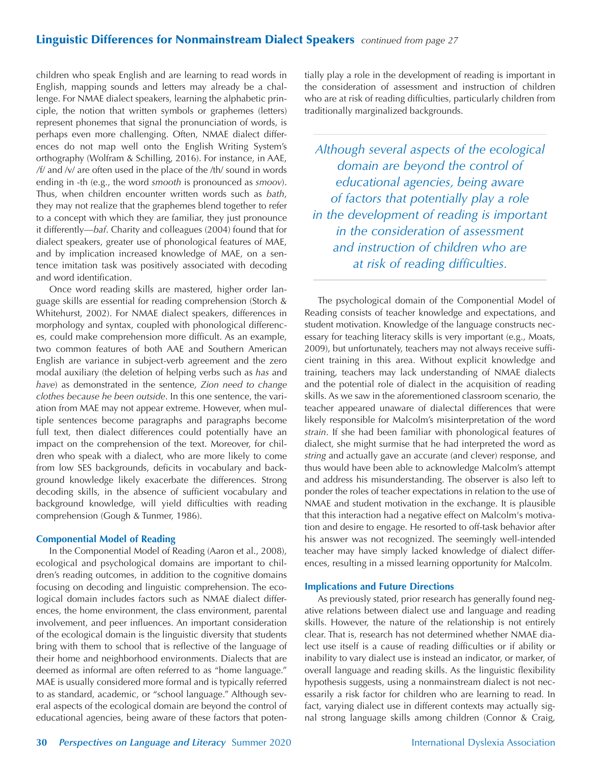## Linguistic Differences for Nonmainstream Dialect Speakers *continued from page 27*

children who speak English and are learning to read words in English, mapping sounds and letters may already be a challenge. For NMAE dialect speakers, learning the alphabetic principle, the notion that written symbols or graphemes (letters) represent phonemes that signal the pronunciation of words, is perhaps even more challenging. Often, NMAE dialect differences do not map well onto the English Writing System's orthography (Wolfram & Schilling, 2016). For instance, in AAE, */*f/ and /v/ are often used in the place of the /th/ sound in words ending in -th (e.g., the word *smooth* is pronounced as *smoov*). Thus, when children encounter written words such as *bath*, they may not realize that the graphemes blend together to refer to a concept with which they are familiar, they just pronounce it differently—*baf*. Charity and colleagues (2004) found that for dialect speakers, greater use of phonological features of MAE, and by implication increased knowledge of MAE, on a sentence imitation task was positively associated with decoding and word identification.

Once word reading skills are mastered, higher order language skills are essential for reading comprehension (Storch & Whitehurst, 2002). For NMAE dialect speakers, differences in morphology and syntax, coupled with phonological differences, could make comprehension more difficult. As an example, two common features of both AAE and Southern American English are variance in subject-verb agreement and the zero modal auxiliary (the deletion of helping verbs such as *has* and *have*) as demonstrated in the sentence, *Zion need to change clothes because he been outside*. In this one sentence, the variation from MAE may not appear extreme. However, when multiple sentences become paragraphs and paragraphs become full text, then dialect differences could potentially have an impact on the comprehension of the text. Moreover, for children who speak with a dialect, who are more likely to come from low SES backgrounds, deficits in vocabulary and background knowledge likely exacerbate the differences. Strong decoding skills, in the absence of sufficient vocabulary and background knowledge, will yield difficulties with reading comprehension (Gough & Tunmer, 1986).

### **Componential Model of Reading**

In the Componential Model of Reading (Aaron et al., 2008), ecological and psychological domains are important to children's reading outcomes, in addition to the cognitive domains focusing on decoding and linguistic comprehension. The ecological domain includes factors such as NMAE dialect differences, the home environment, the class environment, parental involvement, and peer influences. An important consideration of the ecological domain is the linguistic diversity that students bring with them to school that is reflective of the language of their home and neighborhood environments. Dialects that are deemed as informal are often referred to as "home language." MAE is usually considered more formal and is typically referred to as standard, academic, or "school language." Although several aspects of the ecological domain are beyond the control of educational agencies, being aware of these factors that potentially play a role in the development of reading is important in the consideration of assessment and instruction of children who are at risk of reading difficulties, particularly children from traditionally marginalized backgrounds.

*Although several aspects of the ecological domain are beyond the control of educational agencies, being aware of factors that potentially play a role in the development of reading is important in the consideration of assessment and instruction of children who are at risk of reading difficulties.* 

The psychological domain of the Componential Model of Reading consists of teacher knowledge and expectations, and student motivation. Knowledge of the language constructs necessary for teaching literacy skills is very important (e.g., Moats, 2009), but unfortunately, teachers may not always receive sufficient training in this area. Without explicit knowledge and training, teachers may lack understanding of NMAE dialects and the potential role of dialect in the acquisition of reading skills. As we saw in the aforementioned classroom scenario, the teacher appeared unaware of dialectal differences that were likely responsible for Malcolm's misinterpretation of the word *strain*. If she had been familiar with phonological features of dialect, she might surmise that he had interpreted the word as *string* and actually gave an accurate (and clever) response, and thus would have been able to acknowledge Malcolm's attempt and address his misunderstanding. The observer is also left to ponder the roles of teacher expectations in relation to the use of NMAE and student motivation in the exchange. It is plausible that this interaction had a negative effect on Malcolm's motivation and desire to engage. He resorted to off-task behavior after his answer was not recognized. The seemingly well-intended teacher may have simply lacked knowledge of dialect differences, resulting in a missed learning opportunity for Malcolm.

### **Implications and Future Directions**

As previously stated, prior research has generally found negative relations between dialect use and language and reading skills. However, the nature of the relationship is not entirely clear. That is, research has not determined whether NMAE dialect use itself is a cause of reading difficulties or if ability or inability to vary dialect use is instead an indicator, or marker, of overall language and reading skills. As the linguistic flexibility hypothesis suggests, using a nonmainstream dialect is not necessarily a risk factor for children who are learning to read. In fact, varying dialect use in different contexts may actually signal strong language skills among children (Connor & Craig,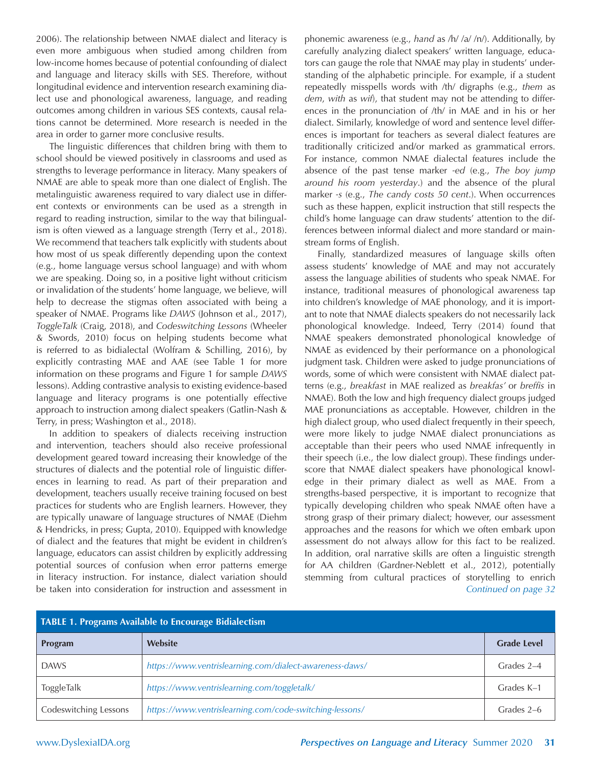2006). The relationship between NMAE dialect and literacy is even more ambiguous when studied among children from low-income homes because of potential confounding of dialect and language and literacy skills with SES. Therefore, without longitudinal evidence and intervention research examining dialect use and phonological awareness, language, and reading outcomes among children in various SES contexts, causal relations cannot be determined. More research is needed in the area in order to garner more conclusive results.

The linguistic differences that children bring with them to school should be viewed positively in classrooms and used as strengths to leverage performance in literacy. Many speakers of NMAE are able to speak more than one dialect of English. The metalinguistic awareness required to vary dialect use in different contexts or environments can be used as a strength in regard to reading instruction, similar to the way that bilingualism is often viewed as a language strength (Terry et al., 2018). We recommend that teachers talk explicitly with students about how most of us speak differently depending upon the context (e.g., home language versus school language) and with whom we are speaking. Doing so, in a positive light without criticism or invalidation of the students' home language, we believe, will help to decrease the stigmas often associated with being a speaker of NMAE. Programs like *DAWS* (Johnson et al., 2017), *ToggleTalk* (Craig, 2018), and *Codeswitching Lessons* (Wheeler & Swords, 2010) focus on helping students become what is referred to as bidialectal (Wolfram & Schilling, 2016), by explicitly contrasting MAE and AAE (see Table 1 for more information on these programs and Figure 1 for sample *DAWS* lessons). Adding contrastive analysis to existing evidence-based language and literacy programs is one potentially effective approach to instruction among dialect speakers (Gatlin-Nash & Terry, in press; Washington et al., 2018).

In addition to speakers of dialects receiving instruction and intervention, teachers should also receive professional development geared toward increasing their knowledge of the structures of dialects and the potential role of linguistic differences in learning to read. As part of their preparation and development, teachers usually receive training focused on best practices for students who are English learners. However, they are typically unaware of language structures of NMAE (Diehm & Hendricks, in press; Gupta, 2010). Equipped with knowledge of dialect and the features that might be evident in children's language, educators can assist children by explicitly addressing potential sources of confusion when error patterns emerge in literacy instruction. For instance, dialect variation should be taken into consideration for instruction and assessment in phonemic awareness (e.g., *hand* as /h/ /a/ /n/). Additionally, by carefully analyzing dialect speakers' written language, educators can gauge the role that NMAE may play in students' understanding of the alphabetic principle. For example, if a student repeatedly misspells words with /th/ digraphs (e.g., *them* as *dem*, *with* as *wif*), that student may not be attending to differences in the pronunciation of /th/ in MAE and in his or her dialect. Similarly, knowledge of word and sentence level differences is important for teachers as several dialect features are traditionally criticized and/or marked as grammatical errors. For instance, common NMAE dialectal features include the absence of the past tense marker *-ed* (e.g., *The boy jump around his room yesterday*.) and the absence of the plural marker *-s* (e.g., *The candy costs 50 cent*.). When occurrences such as these happen, explicit instruction that still respects the child's home language can draw students' attention to the differences between informal dialect and more standard or mainstream forms of English.

Finally, standardized measures of language skills often assess students' knowledge of MAE and may not accurately assess the language abilities of students who speak NMAE. For instance, traditional measures of phonological awareness tap into children's knowledge of MAE phonology, and it is important to note that NMAE dialects speakers do not necessarily lack phonological knowledge. Indeed, Terry (2014) found that NMAE speakers demonstrated phonological knowledge of NMAE as evidenced by their performance on a phonological judgment task. Children were asked to judge pronunciations of words, some of which were consistent with NMAE dialect patterns (e.g., *breakfast* in MAE realized as *breakfas'* or *breffis* in NMAE). Both the low and high frequency dialect groups judged MAE pronunciations as acceptable. However, children in the high dialect group, who used dialect frequently in their speech, were more likely to judge NMAE dialect pronunciations as acceptable than their peers who used NMAE infrequently in their speech (i.e., the low dialect group). These findings underscore that NMAE dialect speakers have phonological knowledge in their primary dialect as well as MAE. From a strengths-based perspective, it is important to recognize that typically developing children who speak NMAE often have a strong grasp of their primary dialect; however, our assessment approaches and the reasons for which we often embark upon assessment do not always allow for this fact to be realized. In addition, oral narrative skills are often a linguistic strength for AA children (Gardner-Neblett et al., 2012), potentially stemming from cultural practices of storytelling to enrich *Continued on page 32*

| <b>TABLE 1. Programs Available to Encourage Bidialectism</b> |                                                         |                    |
|--------------------------------------------------------------|---------------------------------------------------------|--------------------|
| Program                                                      | Website                                                 | <b>Grade Level</b> |
| <b>DAWS</b>                                                  | https://www.ventrislearning.com/dialect-awareness-daws/ | Grades 2-4         |
| ToggleTalk                                                   | https://www.ventrislearning.com/toggletalk/             | Grades K-1         |
| Codeswitching Lessons                                        | https://www.ventrislearning.com/code-switching-lessons/ | Grades 2-6         |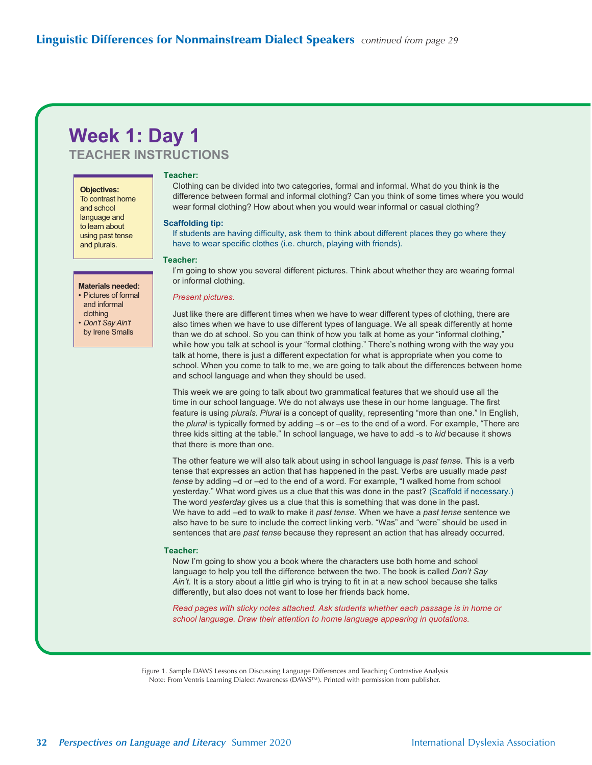## **Week 1: Day 1 TEACHER INSTRUCTIONS**

**Objectives:** To contrast home and school language and to learn about using past tense and plurals.

### **Materials needed:**

- Pictures of formal and informal clothing
- *Don't Say Ain't* by Irene Smalls

### Teacher<sup>.</sup>

Clothing can be divided into two categories, formal and informal. What do you think is the difference between formal and informal clothing? Can you think of some times where you would wear formal clothing? How about when you would wear informal or casual clothing?

### **Scaffolding tip:**

If students are having difficulty, ask them to think about different places they go where they have to wear specific clothes (i.e. church, playing with friends).

### **Teacher:**

I'm going to show you several different pictures. Think about whether they are wearing formal or informal clothing.

### **Present pictures.**

Just like there are different times when we have to wear different types of clothing, there are also times when we have to use different types of language. We all speak differently at home than we do at school. So you can think of how you talk at home as your "informal clothing," while how you talk at school is your "formal clothing." There's nothing wrong with the way you talk at home, there is just a different expectation for what is appropriate when you come to school. When you come to talk to me, we are going to talk about the differences between home and school language and when they should be used.

This week we are going to talk about two grammatical features that we should use all the time in our school language. We do not always use these in our home language. The first feature is using *plurals. Plural* is a concept of quality, representing "more than one." In English, the plural is typically formed by adding -s or -es to the end of a word. For example, "There are three kids sitting at the table." In school language, we have to add -s to kid because it shows that there is more than one.

The other feature we will also talk about using in school language is past tense. This is a verb tense that expresses an action that has happened in the past. Verbs are usually made past *tense* by adding -d or -ed to the end of a word. For example, "I walked home from school yesterday." What word gives us a clue that this was done in the past? (Scaffold if necessary.) The word *yesterday* gives us a clue that this is something that was done in the past. We have to add –ed to walk to make it past tense. When we have a past tense sentence we also have to be sure to include the correct linking verb. "Was" and "were" should be used in sentences that are *past tense* because they represent an action that has already occurred.

### **Teacher:**

Now I'm going to show you a book where the characters use both home and school language to help you tell the difference between the two. The book is called *Don't Say Ain't*. It is a story about a little girl who is trying to fit in at a new school because she talks differently, but also does not want to lose her friends back home.

Read pages with sticky notes attached. Ask students whether each passage is in home or *school language. Draw their attention to home language appearing in quotations.* 

Figure 1. Sample DAWS Lessons on Discussing Language Differences and Teaching Contrastive Analysis Note: From Ventris Learning Dialect Awareness (DAWS™). Printed with permission from publisher.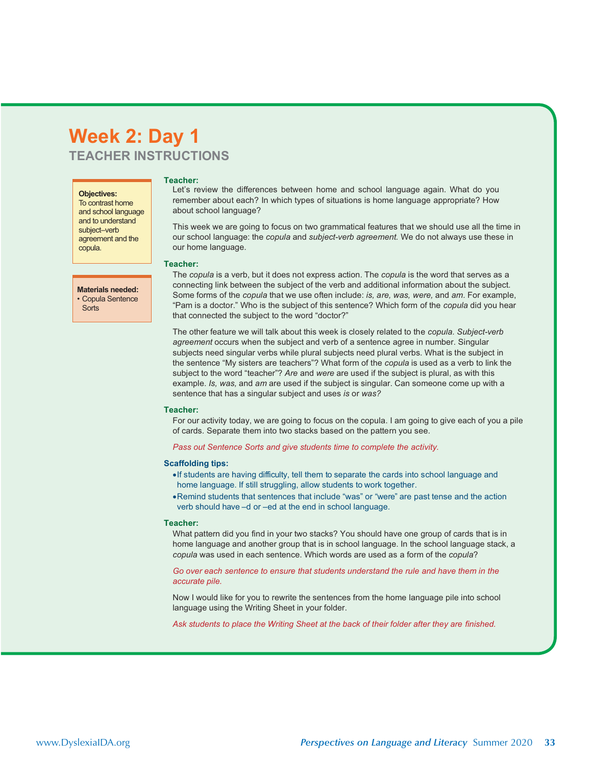## **Week 2: Day 1** *TEACHER INSTRUCTIONS*

### **Objectives:**

**Sorts** 

To contrast home and school language and to understand subject–verb agreement and the copula.

#### Teacher:

Let's review the differences between home and school language again. What do you remember about each? In which types of situations is home language appropriate? How about school language?

This week we are going to focus on two grammatical features that we should use all the time in our school language: the *copula* and *subject-verb agreement*. We do not always use these in our home language.

### Teacher:

The *copula* is a verb, but it does not express action. The *copula* is the word that serves as a connecting link between the subject of the verb and additional information about the subject. Some forms of the *copula* that we use often include: is, are, was, were, and am. For example, "Pam is a doctor." Who is the subject of this sentence? Which form of the *copula* did you hear that connected the subject to the word "doctor?" **Materials needed:** • Copula Sentence

> The other feature we will talk about this week is closely related to the *copula. Subject-verb agreement* occurs when the subject and verb of a sentence agree in number. Singular subjects need singular verbs while plural subjects need plural verbs. What is the subject in the sentence "My sisters are teachers"? What form of the *copula* is used as a verb to link the subject to the word "teacher"? Are and were are used if the subject is plural, as with this example. Is, was, and am are used if the subject is singular. Can someone come up with a sentence that has a singular subject and uses is or was?

### Teacher:

For our activity today, we are going to focus on the copula. I am going to give each of you a pile of cards. Separate them into two stacks based on the pattern you see.

Pass out Sentence Sorts and give students time to complete the activity.

### **Scaffolding tips:**

- If students are having difficulty, tell them to separate the cards into school language and home language. If still struggling, allow students to work together.
- Remind students that sentences that include "was" or "were" are past tense and the action verb should have -d or -ed at the end in school language.

### Teacher:

What pattern did you find in your two stacks? You should have one group of cards that is in home language and another group that is in school language. In the school language stack, a *copula* was used in each sentence. Which words are used as a form of the *copula*?

### Go over each sentence to ensure that students understand the rule and have them in the accurate pile.

Now I would like for you to rewrite the sentences from the home language pile into school language using the Writing Sheet in your folder.

Ask students to place the Writing Sheet at the back of their folder after they are finished.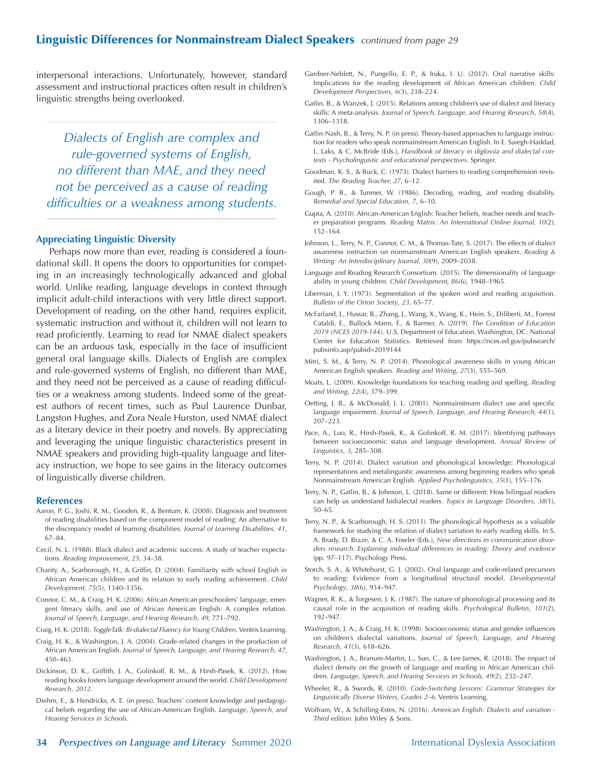## Linguistic Differences for Nonmainstream Dialect Speakers *continued from page 29*

interpersonal interactions. Unfortunately, however, standard assessment and instructional practices often result in children's linguistic strengths being overlooked.

*Dialects of English are complex and rule-governed systems of English, no different than MAE, and they need not be perceived as a cause of reading difficulties or a weakness among students.*

### **Appreciating Linguistic Diversity**

Perhaps now more than ever, reading is considered a foundational skill. It opens the doors to opportunities for competing in an increasingly technologically advanced and global world. Unlike reading, language develops in context through implicit adult-child interactions with very little direct support. Development of reading, on the other hand, requires explicit, systematic instruction and without it, children will not learn to read proficiently. Learning to read for NMAE dialect speakers can be an arduous task, especially in the face of insufficient general oral language skills. Dialects of English are complex and rule-governed systems of English, no different than MAE, and they need not be perceived as a cause of reading difficulties or a weakness among students. Indeed some of the greatest authors of recent times, such as Paul Laurence Dunbar, Langston Hughes, and Zora Neale Hurston, used NMAE dialect as a literary device in their poetry and novels. By appreciating and leveraging the unique linguistic characteristics present in NMAE speakers and providing high-quality language and literacy instruction, we hope to see gains in the literacy outcomes of linguistically diverse children.

### **References**

- Aaron, P. G., Joshi, R. M., Gooden, R., & Bentum, K. (2008). Diagnosis and treatment of reading disabilities based on the component model of reading: An alternative to the discrepancy model of learning disabilities. *Journal of Learning Disabilities, 41*, 67–84.
- Cecil, N. L. (1988). Black dialect and academic success: A study of teacher expectations. *Reading Improvement, 25,* 34–38.
- Charity, A., Scarborough, H., & Griffin, D. (2004). Familiarity with school English in African American children and its relation to early reading achievement. *Child Development, 75*(5), 1340–1356.
- Connor, C. M., & Craig, H. K. (2006). African American preschoolers' language, emergent literacy skills, and use of African American English: A complex relation. *Journal of Speech, Language, and Hearing Research, 49,* 771–792.
- Craig, H. K. (2018). *ToggleTalk: Bi-dialectal Fluency for Young Children.* Ventris Learning.
- Craig, H. K., & Washington, J. A. (2004). Grade-related changes in the production of African American English. *Journal of Speech, Language, and Hearing Research, 47,*  450–463.
- Dickinson, D. K., Griffith, J. A., Golinkoff, R. M., & Hirsh-Pasek, K. (2012). How reading books fosters language development around the world. *Child Development Research*, *2012*.
- Diehm, E., & Hendricks, A. E. (in press). Teachers' content knowledge and pedagogical beliefs regarding the use of African-American English. *Language, Speech, and Hearing Services in Schools*.
- Gardner-Neblett, N., Pungello, E. P., & Iruka, I. U. (2012). Oral narrative skills: Implications for the reading development of African American children. *Child Development Perspectives*, *6*(3), 218–224.
- Gatlin, B., & Wanzek, J. (2015). Relations among children's use of dialect and literacy skills: A meta-analysis. *Journal of Speech, Language, and Hearing Research*, *58*(4), 1306–1318.
- Gatlin-Nash, B., & Terry, N. P. (in press). Theory-based approaches to language instruction for readers who speak nonmainstream American English. In E. Saiegh-Haddad, L. Laks, & C. McBride (Eds.), *Handbook of literacy in diglossia and dialectal contexts - Psycholinguistic and educational perspectives.* Springer.
- Goodman, K. S., & Buck, C. (1973). Dialect barriers to reading comprehension revisited. *The Reading Teacher, 27,* 6–12.
- Gough, P. B., & Tunmer, W. (1986). Decoding, reading, and reading disability. *Remedial and Special Education, 7*, 6–10.
- Gupta, A. (2010). African-American English: Teacher beliefs, teacher needs and teacher preparation programs. *Reading Matrix: An International Online Journal, 10*(2), 152–164.
- Johnson, L., Terry, N. P., Connor, C. M., & Thomas-Tate, S. (2017). The effects of dialect awareness instruction on nonmainstream American English speakers. *Reading & Writing: An Interdisciplinary Journal, 30*(9), 2009–2038.
- Language and Reading Research Consortium. (2015). The dimensionality of language ability in young children. *Child Development, 86*(6), 1948–1965.
- Liberman, I. Y. (1973). Segmentation of the spoken word and reading acquisition. *Bulletin of the Orton Society*, *23*, 65–77.
- McFarland, J., Hussar, B., Zhang, J., Wang, X., Wang, K., Hein, S., Diliberti, M., Forrest Cataldi, E., Bullock Mann, F., & Barmer, A. (2019). *The Condition of Education 2019 (NCES 2019-144)*. U.S. Department of Education. Washington, DC: National Center for Education Statistics. Retrieved from https://nces.ed.gov/pubsearch/ pubsinfo.asp?pubid=2019144
- Mitri, S. M., & Terry, N. P. (2014). Phonological awareness skills in young African American English speakers. *Reading and Writing*, *27*(3), 555–569.
- Moats, L. (2009). Knowledge foundations for teaching reading and spelling. *Reading and Writing*, *22*(4), 379–399.
- Oetting, J. B., & McDonald, J. L. (2001). Nonmainstream dialect use and specific language impairment. *Journal of Speech, Language, and Hearing Research, 44*(1), 207–223.
- Pace, A., Luo, R., Hirsh-Pasek, K., & Golinkoff, R. M. (2017). Identifying pathways between socioeconomic status and language development. *Annual Review of Linguistics*, *3*, 285–308.
- Terry, N. P. (2014). Dialect variation and phonological knowledge: Phonological representations and metalinguistic awareness among beginning readers who speak Nonmainstream American English. *Applied Psycholinguistics, 35*(1), 155–176.
- Terry, N. P., Gatlin, B., & Johnson, L. (2018). Same or different: How bilingual readers can help us understand bidialectal readers. *Topics in Language Disorders*, *38*(1), 50–65.
- Terry, N. P., & Scarborough, H. S. (2011). The phonological hypothesis as a valuable framework for studying the relation of dialect variation to early reading skills. In S. A. Brady, D. Braze, & C. A. Fowler (Eds.), *New directions in communication disorders research. Explaining individual differences in reading: Theory and evidence* (pp. 97–117). Psychology Press.
- Storch, S. A., & Whitehurst, G. J. (2002). Oral language and code-related precursors to reading: Evidence from a longitudinal structural model. *Developmental Psychology*, *38*(6), 934–947.
- Wagner, R. K., & Torgesen, J. K. (1987). The nature of phonological processing and its causal role in the acquisition of reading skills. *Psychological Bulletin*, *101*(2), 192–947.
- Washington, J. A., & Craig, H. K. (1998). Socioeconomic status and gender influences on children's dialectal variations. *Journal of Speech, Language, and Hearing Research*, *41*(3), 618–626.
- Washington, J. A., Branum-Martin, L., Sun, C., & Lee-James, R. (2018). The impact of dialect density on the growth of language and reading in African American children. *Language, Speech, and Hearing Services in Schools, 49*(2), 232–247.
- Wheeler, R., & Swords, R. (2010). *Code-Switching Lessons: Grammar Strategies for Linguistically Diverse Writers, Grades 2–6.* Ventris Learning.
- Wolfram, W., & Schilling-Estes, N. (2016). *American English: Dialects and variation Third edition.* John Wiley & Sons.